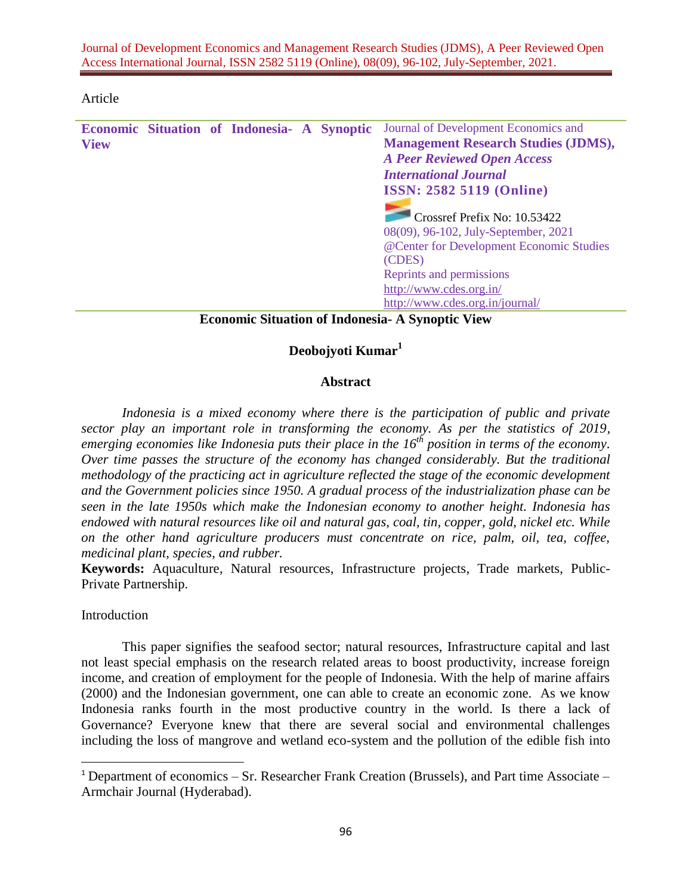Journal of Development Economics and Management Research Studies (JDMS), A Peer Reviewed Open Access International Journal, ISSN 2582 5119 (Online), 08(09), 96-102, July-September, 2021.

#### Article

|             |  | Economic Situation of Indonesia- A Synoptic |  | Journal of Development Economics and       |
|-------------|--|---------------------------------------------|--|--------------------------------------------|
| <b>View</b> |  |                                             |  | <b>Management Research Studies (JDMS),</b> |
|             |  |                                             |  | <b>A Peer Reviewed Open Access</b>         |
|             |  |                                             |  | <b>International Journal</b>               |
|             |  |                                             |  | <b>ISSN: 2582 5119 (Online)</b>            |
|             |  |                                             |  |                                            |
|             |  |                                             |  | Crossref Prefix No: 10.53422               |
|             |  |                                             |  | 08(09), 96-102, July-September, 2021       |
|             |  |                                             |  | @Center for Development Economic Studies   |
|             |  |                                             |  | (CDES)                                     |
|             |  |                                             |  | Reprints and permissions                   |
|             |  |                                             |  | http://www.cdes.org.in/                    |
|             |  |                                             |  | http://www.cdes.org.in/journal/            |

### **Economic Situation of Indonesia- A Synoptic View**

# **Deobojyoti Kumar<sup>1</sup>**

### **Abstract**

Indonesia is a mixed economy where there is the participation of public and private *sector play an important role in transforming the economy. As per the statistics of 2019, emerging economies like Indonesia puts their place in the 16th position in terms of the economy. Over time passes the structure of the economy has changed considerably. But the traditional methodology of the practicing act in agriculture reflected the stage of the economic development and the Government policies since 1950. A gradual process of the industrialization phase can be seen in the late 1950s which make the Indonesian economy to another height. Indonesia has endowed with natural resources like oil and natural gas, coal, tin, copper, gold, nickel etc. While on the other hand agriculture producers must concentrate on rice, palm, oil, tea, coffee, medicinal plant, species, and rubber.* 

**Keywords:** Aquaculture, Natural resources, Infrastructure projects, Trade markets, Public-Private Partnership.

Introduction

 $\overline{a}$ 

This paper signifies the seafood sector; natural resources, Infrastructure capital and last not least special emphasis on the research related areas to boost productivity, increase foreign income, and creation of employment for the people of Indonesia. With the help of marine affairs (2000) and the Indonesian government, one can able to create an economic zone. As we know Indonesia ranks fourth in the most productive country in the world. Is there a lack of Governance? Everyone knew that there are several social and environmental challenges including the loss of mangrove and wetland eco-system and the pollution of the edible fish into

<sup>&</sup>lt;sup>1</sup> Department of economics – Sr. Researcher Frank Creation (Brussels), and Part time Associate – Armchair Journal (Hyderabad).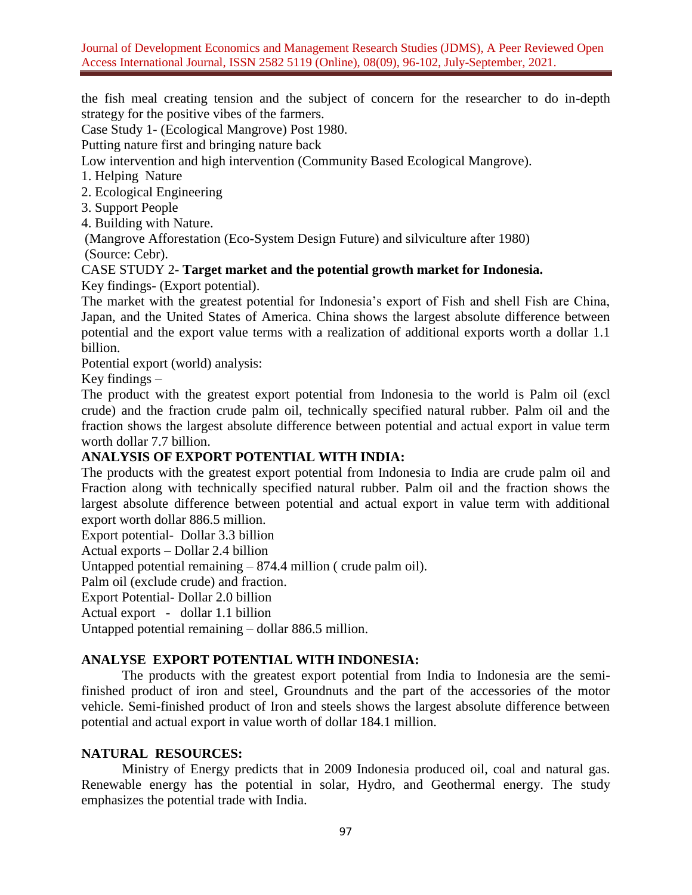the fish meal creating tension and the subject of concern for the researcher to do in-depth strategy for the positive vibes of the farmers.

Case Study 1- (Ecological Mangrove) Post 1980.

Putting nature first and bringing nature back

Low intervention and high intervention (Community Based Ecological Mangrove).

1. Helping Nature

2. Ecological Engineering

3. Support People

4. Building with Nature.

(Mangrove Afforestation (Eco-System Design Future) and silviculture after 1980) (Source: Cebr).

## CASE STUDY 2- **Target market and the potential growth market for Indonesia.** Key findings- (Export potential).

The market with the greatest potential for Indonesia's export of Fish and shell Fish are China, Japan, and the United States of America. China shows the largest absolute difference between potential and the export value terms with a realization of additional exports worth a dollar 1.1 billion.

Potential export (world) analysis:

Key findings –

The product with the greatest export potential from Indonesia to the world is Palm oil (excl crude) and the fraction crude palm oil, technically specified natural rubber. Palm oil and the fraction shows the largest absolute difference between potential and actual export in value term worth dollar 7.7 billion.

# **ANALYSIS OF EXPORT POTENTIAL WITH INDIA:**

The products with the greatest export potential from Indonesia to India are crude palm oil and Fraction along with technically specified natural rubber. Palm oil and the fraction shows the largest absolute difference between potential and actual export in value term with additional export worth dollar 886.5 million.

Export potential- Dollar 3.3 billion

Actual exports – Dollar 2.4 billion

Untapped potential remaining – 874.4 million ( crude palm oil).

Palm oil (exclude crude) and fraction.

Export Potential- Dollar 2.0 billion

Actual export - dollar 1.1 billion

Untapped potential remaining – dollar 886.5 million.

# **ANALYSE EXPORT POTENTIAL WITH INDONESIA:**

The products with the greatest export potential from India to Indonesia are the semifinished product of iron and steel, Groundnuts and the part of the accessories of the motor vehicle. Semi-finished product of Iron and steels shows the largest absolute difference between potential and actual export in value worth of dollar 184.1 million.

## **NATURAL RESOURCES:**

Ministry of Energy predicts that in 2009 Indonesia produced oil, coal and natural gas. Renewable energy has the potential in solar, Hydro, and Geothermal energy. The study emphasizes the potential trade with India.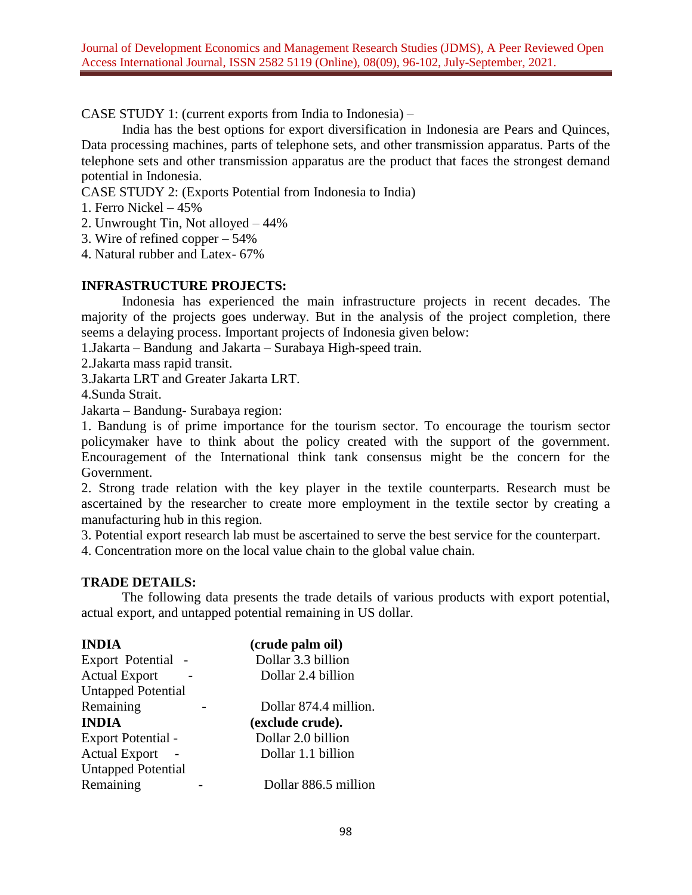CASE STUDY 1: (current exports from India to Indonesia) –

India has the best options for export diversification in Indonesia are Pears and Quinces, Data processing machines, parts of telephone sets, and other transmission apparatus. Parts of the telephone sets and other transmission apparatus are the product that faces the strongest demand potential in Indonesia.

CASE STUDY 2: (Exports Potential from Indonesia to India)

- 1. Ferro Nickel 45%
- 2. Unwrought Tin, Not alloyed 44%
- 3. Wire of refined copper 54%
- 4. Natural rubber and Latex- 67%

## **INFRASTRUCTURE PROJECTS:**

Indonesia has experienced the main infrastructure projects in recent decades. The majority of the projects goes underway. But in the analysis of the project completion, there seems a delaying process. Important projects of Indonesia given below:

1.Jakarta – Bandung and Jakarta – Surabaya High-speed train.

2.Jakarta mass rapid transit.

3.Jakarta LRT and Greater Jakarta LRT.

4.Sunda Strait.

Jakarta – Bandung- Surabaya region:

1. Bandung is of prime importance for the tourism sector. To encourage the tourism sector policymaker have to think about the policy created with the support of the government. Encouragement of the International think tank consensus might be the concern for the Government.

2. Strong trade relation with the key player in the textile counterparts. Research must be ascertained by the researcher to create more employment in the textile sector by creating a manufacturing hub in this region.

3. Potential export research lab must be ascertained to serve the best service for the counterpart.

4. Concentration more on the local value chain to the global value chain.

## **TRADE DETAILS:**

The following data presents the trade details of various products with export potential, actual export, and untapped potential remaining in US dollar.

| <b>INDIA</b>              | (crude palm oil)      |
|---------------------------|-----------------------|
| Export Potential          | Dollar 3.3 billion    |
| <b>Actual Export</b>      | Dollar 2.4 billion    |
| <b>Untapped Potential</b> |                       |
| Remaining                 | Dollar 874.4 million. |
| <b>INDIA</b>              | (exclude crude).      |
| Export Potential -        | Dollar 2.0 billion    |
| <b>Actual Export</b>      | Dollar 1.1 billion    |
| <b>Untapped Potential</b> |                       |
| Remaining                 | Dollar 886.5 million  |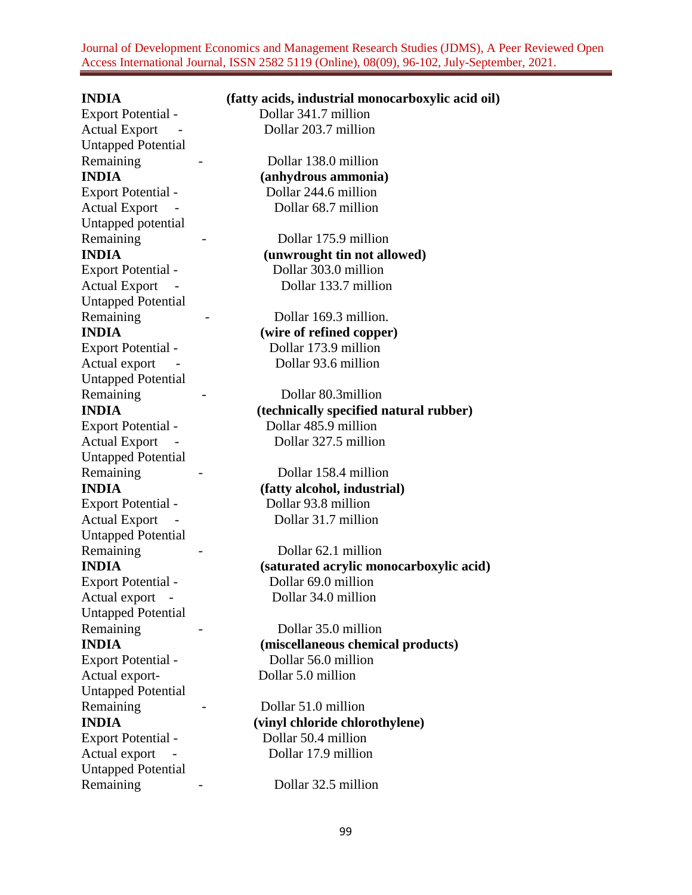Journal of Development Economics and Management Research Studies (JDMS), A Peer Reviewed Open Access International Journal, ISSN 2582 5119 (Online), 08(09), 96-102, July-September, 2021.

**INDIA (fatty acids, industrial monocarboxylic acid oil)**

Export Potential - Dollar 341.7 million Actual Export - Dollar 203.7 million Untapped Potential Remaining - Dollar 138.0 million Export Potential - Dollar 244.6 million Untapped potential Remaining - Dollar 175.9 million Untapped Potential Remaining - Dollar 169.3 million. Untapped Potential Untapped Potential Remaining - Dollar 158.4 million Export Potential - Dollar 93.8 million Untapped Potential Remaining - Dollar 62.1 million Untapped Potential Remaining - Dollar 35.0 million Export Potential - Dollar 56.0 million Actual export- Dollar 5.0 million Untapped Potential Remaining - Dollar 51.0 million Export Potential - Dollar 50.4 million Untapped Potential Remaining - Dollar 32.5 million

**INDIA (anhydrous ammonia)** Actual Export - Dollar 68.7 million

**INDIA (unwrought tin not allowed)** Export Potential - Dollar 303.0 million Actual Export - Dollar 133.7 million

**INDIA (wire of refined copper)** Export Potential - Dollar 173.9 million Actual export - Dollar 93.6 million

Remaining - Dollar 80.3million **INDIA (technically specified natural rubber)** Export Potential - Dollar 485.9 million Actual Export - Dollar 327.5 million

**INDIA (fatty alcohol, industrial)** Actual Export - Dollar 31.7 million

**INDIA (saturated acrylic monocarboxylic acid)** Export Potential - Dollar 69.0 million Actual export - Dollar 34.0 million

**INDIA (miscellaneous chemical products)**

**INDIA (vinyl chloride chlorothylene)** Actual export - Dollar 17.9 million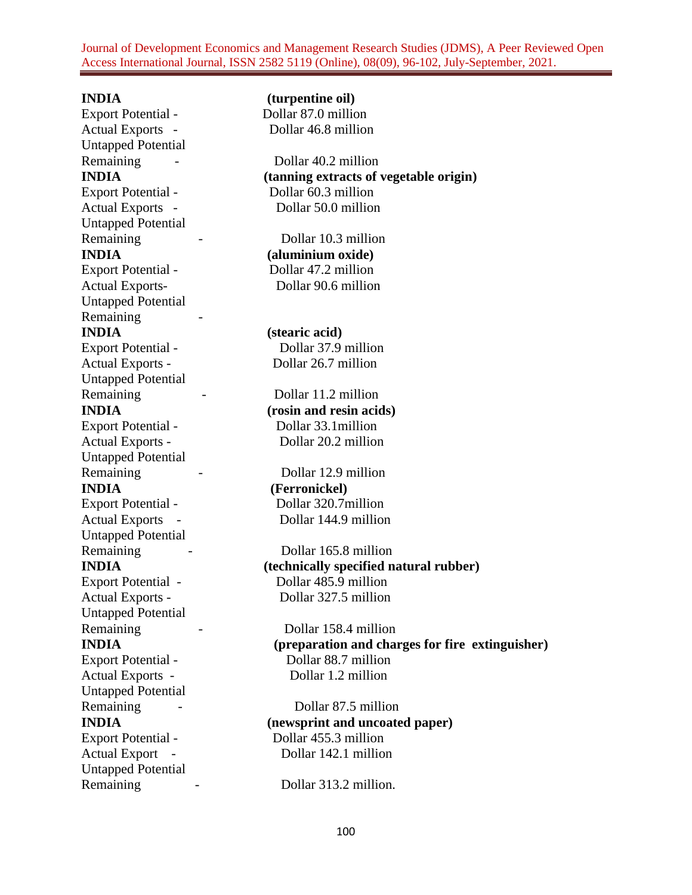Journal of Development Economics and Management Research Studies (JDMS), A Peer Reviewed Open Access International Journal, ISSN 2582 5119 (Online), 08(09), 96-102, July-September, 2021.

Export Potential - Dollar 87.0 million Actual Exports - Dollar 46.8 million Untapped Potential Export Potential - Dollar 60.3 million Untapped Potential Remaining - Dollar 10.3 million **INDIA (aluminium oxide)** Export Potential - Dollar 47.2 million Actual Exports-<br>
Dollar 90.6 million Untapped Potential Remaining -**INDIA (stearic acid)** Export Potential - Dollar 37.9 million Actual Exports - Dollar 26.7 million Untapped Potential Remaining - Dollar 11.2 million Export Potential - Dollar 33.1million Untapped Potential Remaining - Dollar 12.9 million **INDIA (Ferronickel)** Untapped Potential Untapped Potential Remaining - Dollar 158.4 million Untapped Potential Untapped Potential Remaining - Dollar 313.2 million.

**INDIA (turpentine oil)**

Remaining - Dollar 40.2 million **INDIA (tanning extracts of vegetable origin)** Actual Exports - Dollar 50.0 million

**INDIA (rosin and resin acids)** Actual Exports - Dollar 20.2 million

Export Potential - Dollar 320.7million Actual Exports - Dollar 144.9 million

Remaining - Dollar 165.8 million **INDIA (technically specified natural rubber)** Export Potential - Dollar 485.9 million Actual Exports - Dollar 327.5 million

**INDIA (preparation and charges for fire extinguisher)** Export Potential - Dollar 88.7 million Actual Exports - Dollar 1.2 million

Remaining - Dollar 87.5 million **INDIA (newsprint and uncoated paper)** Export Potential - Dollar 455.3 million Actual Export - Dollar 142.1 million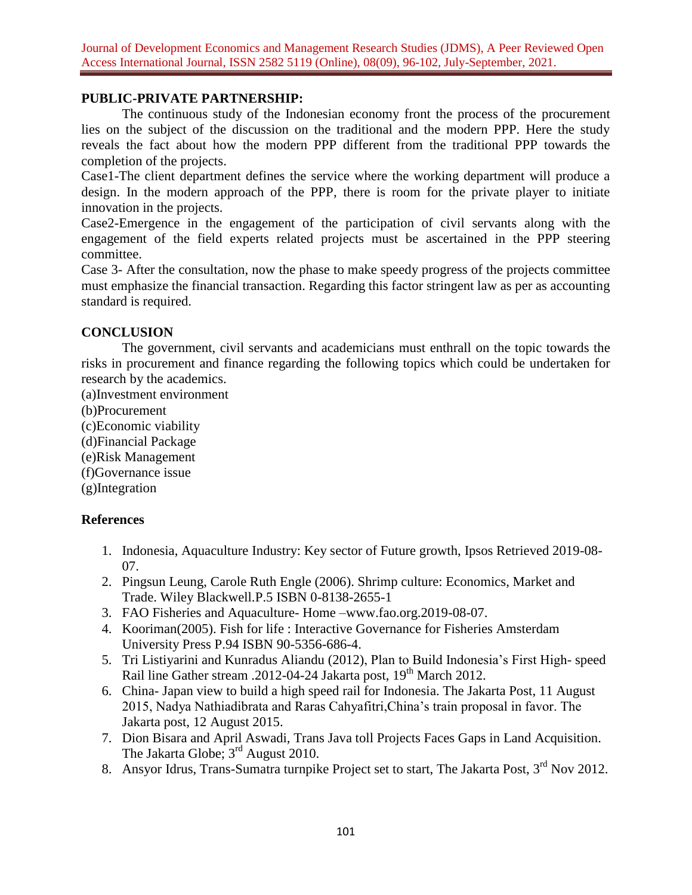# **PUBLIC-PRIVATE PARTNERSHIP:**

The continuous study of the Indonesian economy front the process of the procurement lies on the subject of the discussion on the traditional and the modern PPP. Here the study reveals the fact about how the modern PPP different from the traditional PPP towards the completion of the projects.

Case1-The client department defines the service where the working department will produce a design. In the modern approach of the PPP, there is room for the private player to initiate innovation in the projects.

Case2-Emergence in the engagement of the participation of civil servants along with the engagement of the field experts related projects must be ascertained in the PPP steering committee.

Case 3- After the consultation, now the phase to make speedy progress of the projects committee must emphasize the financial transaction. Regarding this factor stringent law as per as accounting standard is required.

# **CONCLUSION**

The government, civil servants and academicians must enthrall on the topic towards the risks in procurement and finance regarding the following topics which could be undertaken for research by the academics.

(a)Investment environment (b)Procurement (c)Economic viability (d)Financial Package (e)Risk Management (f)Governance issue (g)Integration

# **References**

- 1. Indonesia, Aquaculture Industry: Key sector of Future growth, Ipsos Retrieved 2019-08- 07.
- 2. Pingsun Leung, Carole Ruth Engle (2006). Shrimp culture: Economics, Market and Trade. Wiley Blackwell.P.5 ISBN 0-8138-2655-1
- 3. FAO Fisheries and Aquaculture- Home –www.fao.org.2019-08-07.
- 4. Kooriman(2005). Fish for life : Interactive Governance for Fisheries Amsterdam University Press P.94 ISBN 90-5356-686-4.
- 5. Tri Listiyarini and Kunradus Aliandu (2012), Plan to Build Indonesia's First High- speed Rail line Gather stream .2012-04-24 Jakarta post, 19<sup>th</sup> March 2012.
- 6. China- Japan view to build a high speed rail for Indonesia. The Jakarta Post, 11 August 2015, Nadya Nathiadibrata and Raras Cahyafitri,China's train proposal in favor. The Jakarta post, 12 August 2015.
- 7. Dion Bisara and April Aswadi, Trans Java toll Projects Faces Gaps in Land Acquisition. The Jakarta Globe;  $3<sup>rd</sup>$  August 2010.
- 8. Ansyor Idrus, Trans-Sumatra turnpike Project set to start, The Jakarta Post, 3<sup>rd</sup> Nov 2012.